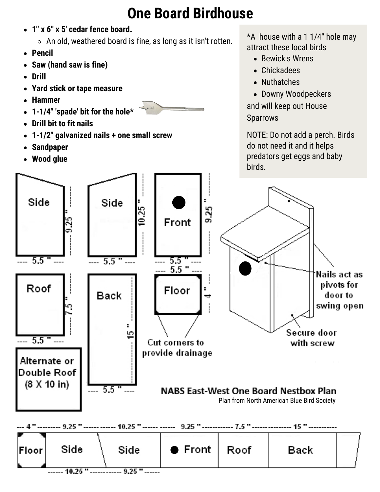## **One Board Birdhouse**

- **1" x 6" x 5' cedar fence board.**
	- $\circ$  An old, weathered board is fine, as long as it isn't rotten.
- **Pencil**
- **Saw (hand saw is fine)**
- **Drill**
- **Yard stick or tape measure**
- **Hammer**
- **1-1/4" 'spade' bit for the hole\***
- **Drill bit to fit nails**
- **1-1/2" galvanized nails + one small screw**
- **Sandpaper**
- **Wood glue**



 $*A$  house with a 1 1/4" hole may attract these local birds

- Bewick's Wrens
- Chickadees
- Nuthatches
- Downy Woodpeckers and will keep out House Sparrows

NOTE: Do not add a perch. Birds do not need it and it helps predators get eggs and baby birds.